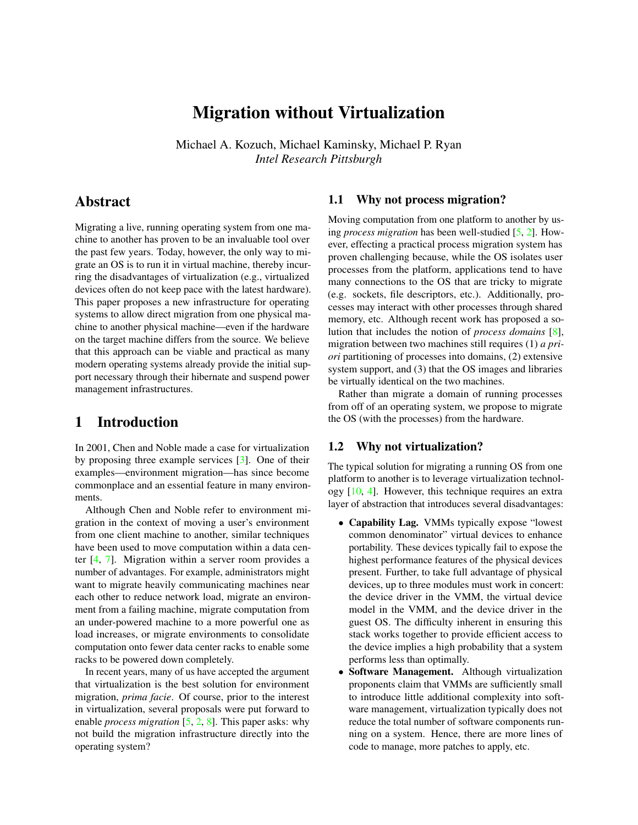# Migration without Virtualization

Michael A. Kozuch, Michael Kaminsky, Michael P. Ryan *Intel Research Pittsburgh*

## Abstract

Migrating a live, running operating system from one machine to another has proven to be an invaluable tool over the past few years. Today, however, the only way to migrate an OS is to run it in virtual machine, thereby incurring the disadvantages of virtualization (e.g., virtualized devices often do not keep pace with the latest hardware). This paper proposes a new infrastructure for operating systems to allow direct migration from one physical machine to another physical machine—even if the hardware on the target machine differs from the source. We believe that this approach can be viable and practical as many modern operating systems already provide the initial support necessary through their hibernate and suspend power management infrastructures.

# <span id="page-0-1"></span>1 Introduction

In 2001, Chen and Noble made a case for virtualization by proposing three example services [\[3\]](#page-4-0). One of their examples—environment migration—has since become commonplace and an essential feature in many environments.

Although Chen and Noble refer to environment migration in the context of moving a user's environment from one client machine to another, similar techniques have been used to move computation within a data center [\[4,](#page-4-1) [7\]](#page-4-2). Migration within a server room provides a number of advantages. For example, administrators might want to migrate heavily communicating machines near each other to reduce network load, migrate an environment from a failing machine, migrate computation from an under-powered machine to a more powerful one as load increases, or migrate environments to consolidate computation onto fewer data center racks to enable some racks to be powered down completely.

In recent years, many of us have accepted the argument that virtualization is the best solution for environment migration, *prima facie*. Of course, prior to the interest in virtualization, several proposals were put forward to enable *process migration* [\[5,](#page-4-3) [2,](#page-4-4) [8\]](#page-4-5). This paper asks: why not build the migration infrastructure directly into the operating system?

#### 1.1 Why not process migration?

Moving computation from one platform to another by using *process migration* has been well-studied [\[5,](#page-4-3) [2\]](#page-4-4). However, effecting a practical process migration system has proven challenging because, while the OS isolates user processes from the platform, applications tend to have many connections to the OS that are tricky to migrate (e.g. sockets, file descriptors, etc.). Additionally, processes may interact with other processes through shared memory, etc. Although recent work has proposed a solution that includes the notion of *process domains* [\[8\]](#page-4-5), migration between two machines still requires (1) *a priori* partitioning of processes into domains, (2) extensive system support, and (3) that the OS images and libraries be virtually identical on the two machines.

Rather than migrate a domain of running processes from off of an operating system, we propose to migrate the OS (with the processes) from the hardware.

#### <span id="page-0-0"></span>1.2 Why not virtualization?

The typical solution for migrating a running OS from one platform to another is to leverage virtualization technology [\[10,](#page-4-6) [4\]](#page-4-1). However, this technique requires an extra layer of abstraction that introduces several disadvantages:

- Capability Lag. VMMs typically expose "lowest common denominator" virtual devices to enhance portability. These devices typically fail to expose the highest performance features of the physical devices present. Further, to take full advantage of physical devices, up to three modules must work in concert: the device driver in the VMM, the virtual device model in the VMM, and the device driver in the guest OS. The difficulty inherent in ensuring this stack works together to provide efficient access to the device implies a high probability that a system performs less than optimally.
- Software Management. Although virtualization proponents claim that VMMs are sufficiently small to introduce little additional complexity into software management, virtualization typically does not reduce the total number of software components running on a system. Hence, there are more lines of code to manage, more patches to apply, etc.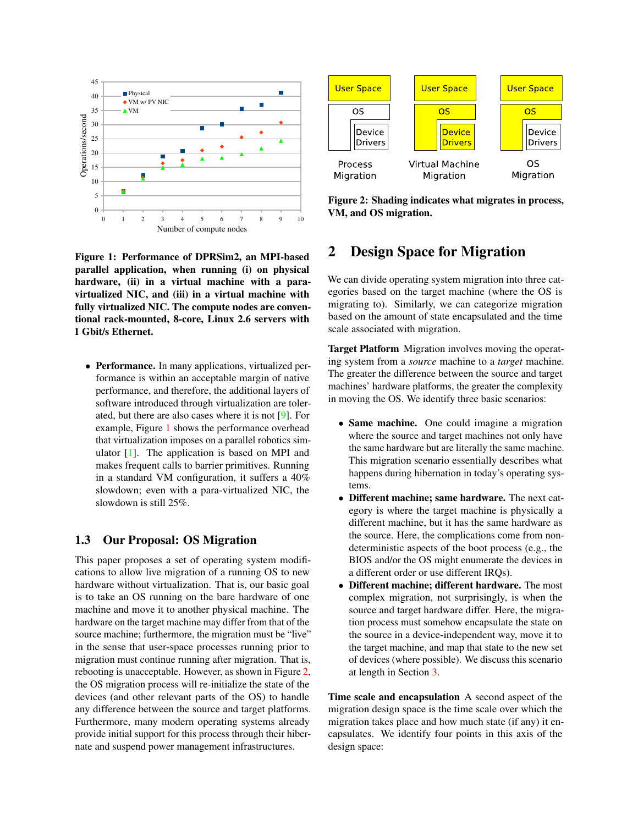

<span id="page-1-0"></span>Figure 1: Performance of DPRSim2, an MPI-based parallel application, when running (i) on physical hardware, (ii) in a virtual machine with a paravirtualized NIC, and (iii) in a virtual machine with fully virtualized NIC. The compute nodes are conventional rack-mounted, 8-core, Linux 2.6 servers with 1 Gbit/s Ethernet.

• Performance. In many applications, virtualized performance is within an acceptable margin of native performance, and therefore, the additional layers of software introduced through virtualization are tolerated, but there are also cases where it is not [\[9\]](#page-4-7). For example, Figure [1](#page-1-0) shows the performance overhead that virtualization imposes on a parallel robotics simulator [\[1\]](#page-4-8). The application is based on MPI and makes frequent calls to barrier primitives. Running in a standard VM configuration, it suffers a 40% slowdown; even with a para-virtualized NIC, the slowdown is still 25%.

#### 1.3 Our Proposal: OS Migration

This paper proposes a set of operating system modifications to allow live migration of a running OS to new hardware without virtualization. That is, our basic goal is to take an OS running on the bare hardware of one machine and move it to another physical machine. The hardware on the target machine may differ from that of the source machine; furthermore, the migration must be "live" in the sense that user-space processes running prior to migration must continue running after migration. That is, rebooting is unacceptable. However, as shown in Figure [2,](#page-1-1) the OS migration process will re-initialize the state of the devices (and other relevant parts of the OS) to handle any difference between the source and target platforms. Furthermore, many modern operating systems already provide initial support for this process through their hibernate and suspend power management infrastructures.



<span id="page-1-1"></span>Figure 2: Shading indicates what migrates in process, VM, and OS migration.

# 2 Design Space for Migration

We can divide operating system migration into three categories based on the target machine (where the OS is migrating to). Similarly, we can categorize migration based on the amount of state encapsulated and the time scale associated with migration.

Target Platform Migration involves moving the operating system from a *source* machine to a *target* machine. The greater the difference between the source and target machines' hardware platforms, the greater the complexity in moving the OS. We identify three basic scenarios:

- Same machine. One could imagine a migration where the source and target machines not only have the same hardware but are literally the same machine. This migration scenario essentially describes what happens during hibernation in today's operating systems.
- Different machine; same hardware. The next category is where the target machine is physically a different machine, but it has the same hardware as the source. Here, the complications come from nondeterministic aspects of the boot process (e.g., the BIOS and/or the OS might enumerate the devices in a different order or use different IRQs).
- Different machine; different hardware. The most complex migration, not surprisingly, is when the source and target hardware differ. Here, the migration process must somehow encapsulate the state on the source in a device-independent way, move it to the target machine, and map that state to the new set of devices (where possible). We discuss this scenario at length in Section [3.](#page-2-0)

Time scale and encapsulation A second aspect of the migration design space is the time scale over which the migration takes place and how much state (if any) it encapsulates. We identify four points in this axis of the design space: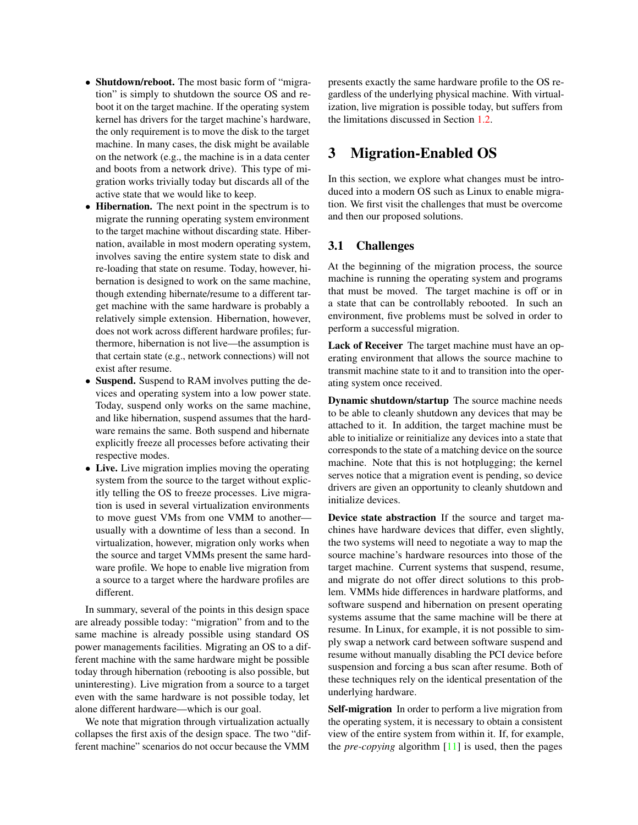- Shutdown/reboot. The most basic form of "migration" is simply to shutdown the source OS and reboot it on the target machine. If the operating system kernel has drivers for the target machine's hardware, the only requirement is to move the disk to the target machine. In many cases, the disk might be available on the network (e.g., the machine is in a data center and boots from a network drive). This type of migration works trivially today but discards all of the active state that we would like to keep.
- Hibernation. The next point in the spectrum is to migrate the running operating system environment to the target machine without discarding state. Hibernation, available in most modern operating system, involves saving the entire system state to disk and re-loading that state on resume. Today, however, hibernation is designed to work on the same machine, though extending hibernate/resume to a different target machine with the same hardware is probably a relatively simple extension. Hibernation, however, does not work across different hardware profiles; furthermore, hibernation is not live—the assumption is that certain state (e.g., network connections) will not exist after resume.
- Suspend. Suspend to RAM involves putting the devices and operating system into a low power state. Today, suspend only works on the same machine, and like hibernation, suspend assumes that the hardware remains the same. Both suspend and hibernate explicitly freeze all processes before activating their respective modes.
- Live. Live migration implies moving the operating system from the source to the target without explicitly telling the OS to freeze processes. Live migration is used in several virtualization environments to move guest VMs from one VMM to another usually with a downtime of less than a second. In virtualization, however, migration only works when the source and target VMMs present the same hardware profile. We hope to enable live migration from a source to a target where the hardware profiles are different.

In summary, several of the points in this design space are already possible today: "migration" from and to the same machine is already possible using standard OS power managements facilities. Migrating an OS to a different machine with the same hardware might be possible today through hibernation (rebooting is also possible, but uninteresting). Live migration from a source to a target even with the same hardware is not possible today, let alone different hardware—which is our goal.

We note that migration through virtualization actually collapses the first axis of the design space. The two "different machine" scenarios do not occur because the VMM

presents exactly the same hardware profile to the OS regardless of the underlying physical machine. With virtualization, live migration is possible today, but suffers from the limitations discussed in Section [1.2.](#page-0-0)

# <span id="page-2-0"></span>3 Migration-Enabled OS

In this section, we explore what changes must be introduced into a modern OS such as Linux to enable migration. We first visit the challenges that must be overcome and then our proposed solutions.

#### 3.1 Challenges

At the beginning of the migration process, the source machine is running the operating system and programs that must be moved. The target machine is off or in a state that can be controllably rebooted. In such an environment, five problems must be solved in order to perform a successful migration.

Lack of Receiver The target machine must have an operating environment that allows the source machine to transmit machine state to it and to transition into the operating system once received.

Dynamic shutdown/startup The source machine needs to be able to cleanly shutdown any devices that may be attached to it. In addition, the target machine must be able to initialize or reinitialize any devices into a state that corresponds to the state of a matching device on the source machine. Note that this is not hotplugging; the kernel serves notice that a migration event is pending, so device drivers are given an opportunity to cleanly shutdown and initialize devices.

Device state abstraction If the source and target machines have hardware devices that differ, even slightly, the two systems will need to negotiate a way to map the source machine's hardware resources into those of the target machine. Current systems that suspend, resume, and migrate do not offer direct solutions to this problem. VMMs hide differences in hardware platforms, and software suspend and hibernation on present operating systems assume that the same machine will be there at resume. In Linux, for example, it is not possible to simply swap a network card between software suspend and resume without manually disabling the PCI device before suspension and forcing a bus scan after resume. Both of these techniques rely on the identical presentation of the underlying hardware.

Self-migration In order to perform a live migration from the operating system, it is necessary to obtain a consistent view of the entire system from within it. If, for example, the *pre-copying* algorithm [\[11\]](#page-4-9) is used, then the pages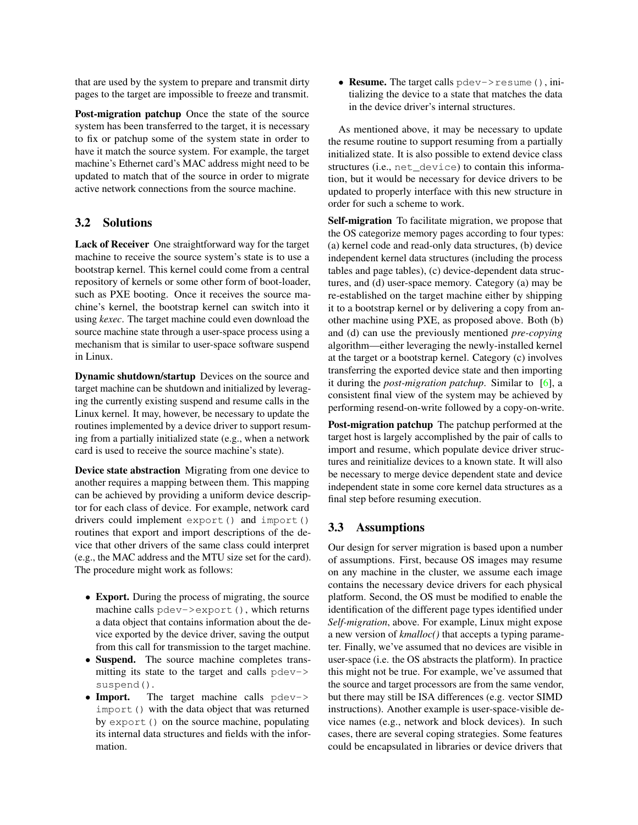that are used by the system to prepare and transmit dirty pages to the target are impossible to freeze and transmit.

Post-migration patchup Once the state of the source system has been transferred to the target, it is necessary to fix or patchup some of the system state in order to have it match the source system. For example, the target machine's Ethernet card's MAC address might need to be updated to match that of the source in order to migrate active network connections from the source machine.

#### 3.2 Solutions

Lack of Receiver One straightforward way for the target machine to receive the source system's state is to use a bootstrap kernel. This kernel could come from a central repository of kernels or some other form of boot-loader, such as PXE booting. Once it receives the source machine's kernel, the bootstrap kernel can switch into it using *kexec*. The target machine could even download the source machine state through a user-space process using a mechanism that is similar to user-space software suspend in Linux.

Dynamic shutdown/startup Devices on the source and target machine can be shutdown and initialized by leveraging the currently existing suspend and resume calls in the Linux kernel. It may, however, be necessary to update the routines implemented by a device driver to support resuming from a partially initialized state (e.g., when a network card is used to receive the source machine's state).

Device state abstraction Migrating from one device to another requires a mapping between them. This mapping can be achieved by providing a uniform device descriptor for each class of device. For example, network card drivers could implement export() and import() routines that export and import descriptions of the device that other drivers of the same class could interpret (e.g., the MAC address and the MTU size set for the card). The procedure might work as follows:

- Export. During the process of migrating, the source machine calls pdev->export(), which returns a data object that contains information about the device exported by the device driver, saving the output from this call for transmission to the target machine.
- Suspend. The source machine completes transmitting its state to the target and calls pdev-> suspend().
- Import. The target machine calls pdev-> import() with the data object that was returned by export () on the source machine, populating its internal data structures and fields with the information.

• **Resume.** The target calls pdev->resume(), initializing the device to a state that matches the data in the device driver's internal structures.

As mentioned above, it may be necessary to update the resume routine to support resuming from a partially initialized state. It is also possible to extend device class structures (i.e., net\_device) to contain this information, but it would be necessary for device drivers to be updated to properly interface with this new structure in order for such a scheme to work.

Self-migration To facilitate migration, we propose that the OS categorize memory pages according to four types: (a) kernel code and read-only data structures, (b) device independent kernel data structures (including the process tables and page tables), (c) device-dependent data structures, and (d) user-space memory. Category (a) may be re-established on the target machine either by shipping it to a bootstrap kernel or by delivering a copy from another machine using PXE, as proposed above. Both (b) and (d) can use the previously mentioned *pre-copying* algorithm—either leveraging the newly-installed kernel at the target or a bootstrap kernel. Category (c) involves transferring the exported device state and then importing it during the *post-migration patchup*. Similar to [\[6\]](#page-4-10), a consistent final view of the system may be achieved by performing resend-on-write followed by a copy-on-write.

Post-migration patchup The patchup performed at the target host is largely accomplished by the pair of calls to import and resume, which populate device driver structures and reinitialize devices to a known state. It will also be necessary to merge device dependent state and device independent state in some core kernel data structures as a final step before resuming execution.

#### 3.3 Assumptions

Our design for server migration is based upon a number of assumptions. First, because OS images may resume on any machine in the cluster, we assume each image contains the necessary device drivers for each physical platform. Second, the OS must be modified to enable the identification of the different page types identified under *Self-migration*, above. For example, Linux might expose a new version of *kmalloc()* that accepts a typing parameter. Finally, we've assumed that no devices are visible in user-space (i.e. the OS abstracts the platform). In practice this might not be true. For example, we've assumed that the source and target processors are from the same vendor, but there may still be ISA differences (e.g. vector SIMD instructions). Another example is user-space-visible device names (e.g., network and block devices). In such cases, there are several coping strategies. Some features could be encapsulated in libraries or device drivers that